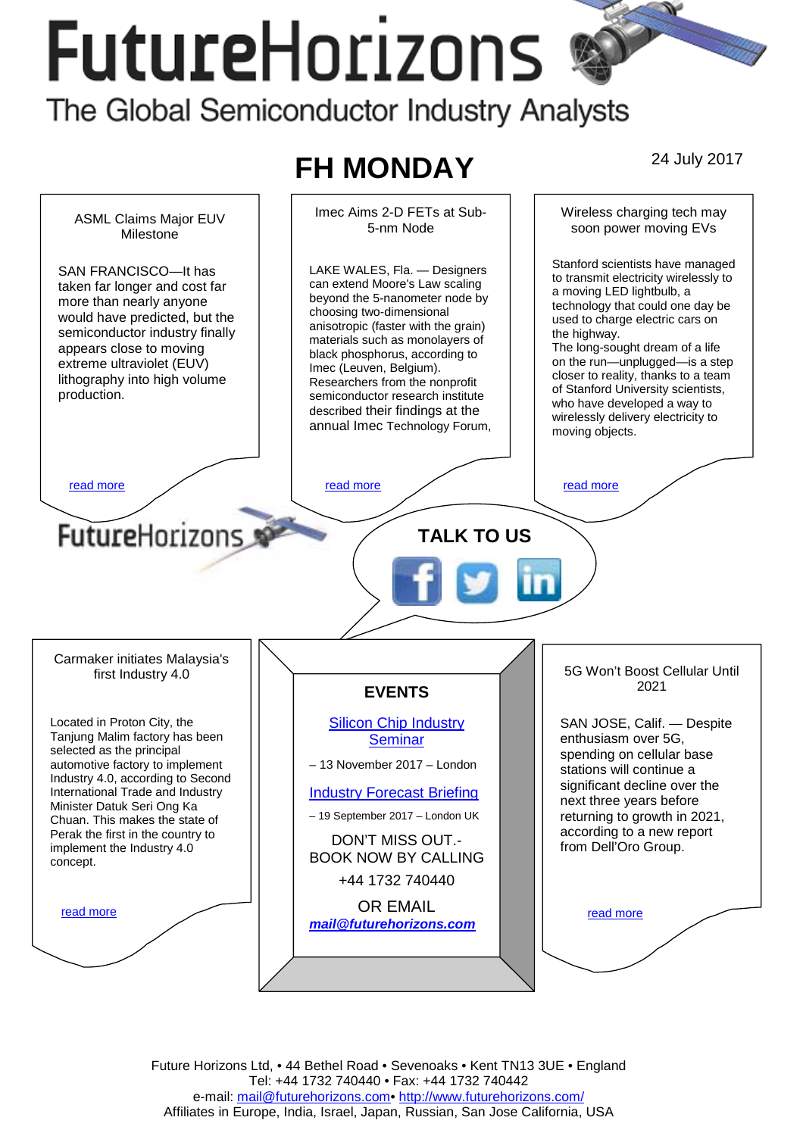# **FutureHorizons** The Global Semiconductor Industry Analysts

#### **FH MONDAY** 24 July 2017 Imec Aims 2-D FETs at Sub-Wireless charging tech may ASML Claims Major EUV 5-nm Node soon power moving EVs Milestone Stanford scientists have managed LAKE WALES, Fla. — Designers SAN FRANCISCO—It has to transmit electricity wirelessly to can extend Moore's Law scaling taken far longer and cost far a moving LED lightbulb, a beyond the 5-nanometer node by more than nearly anyone technology that could one day be choosing two-dimensional would have predicted, but the used to charge electric cars on anisotropic (faster with the grain) semiconductor industry finally the highway. materials such as monolayers of appears close to moving The long-sought dream of a life black phosphorus, according to on the run—unplugged—is a step extreme ultraviolet (EUV) Imec (Leuven, Belgium). closer to reality, thanks to a team lithography into high volume Researchers from the nonprofit of Stanford University scientists, production. semiconductor research institute who have developed a way to described their findings at the wirelessly delivery electricity to annual Imec Technology Forum, moving objects. [read more](#page-1-0) that the second more read more that the read more in the read more in the read more **Future**Horizons **TALK TO US**  Carmaker initiates Malaysia's 5G Won't Boost Cellular Until first Industry 4.0 2021 **EVENTS**  Located in Proton City, the [Silicon Chip Industry](http://www.futurehorizons.com/page/12/silicon-chip-training)  SAN JOSE, Calif. — Despite Tanjung Malim factory has been **[Seminar](http://www.futurehorizons.com/page/12/silicon-chip-training)** enthusiasm over 5G, selected as the principal spending on cellular base – 13 November 2017 – London automotive factory to implement stations will continue a Industry 4.0, according to Second significant decline over the International Trade and Industry [Industry Forecast Briefing](http://www.futurehorizons.com/page/13/Semiconductor-Market-Forecast-Seminar) next three years before Minister Datuk Seri Ong Ka – 19 September 2017 – London UK returning to growth in 2021, Chuan. This makes the state of according to a new report Perak the first in the country to DON'T MISS OUT. implement the Industry 4.0 from Dell'Oro Group. BOOK NOW BY CALLING concept. +44 1732 740440 OR EMAIL read more read more *[mail@futurehorizons.com](mailto:mail@futurehorizons.com)*

Future Horizons Ltd, • 44 Bethel Road • Sevenoaks • Kent TN13 3UE • England Tel: +44 1732 740440 • Fax: +44 1732 740442 e-mail: mail@futurehorizons.com• http://www.futurehorizons.com/ Affiliates in Europe, India, Israel, Japan, Russian, San Jose California, USA